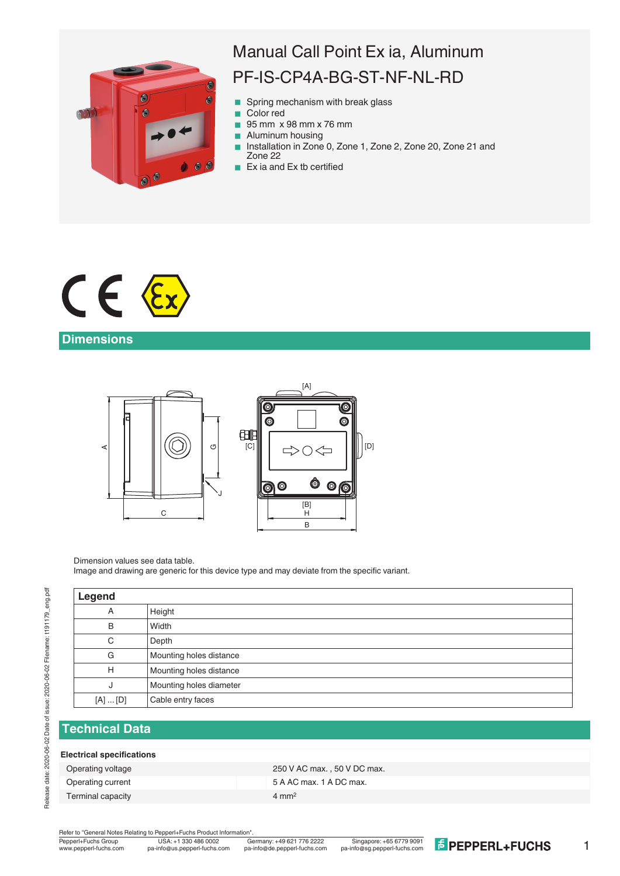

# Manual Call Point Ex ia, Aluminum PF-IS-CP4A-BG-ST-NF-NL-RD

- Spring mechanism with break glass
- Color red
- 95 mm x 98 mm x 76 mm
- **Aluminum housing**
- Installation in Zone 0, Zone 1, Zone 2, Zone 20, Zone 21 and Zone 22
- $\blacksquare$  Ex ia and Ex tb certified



# **Dimensions**



Dimension values see data table.

Image and drawing are generic for this device type and may deviate from the specific variant.

| Legend      |                         |
|-------------|-------------------------|
| A           | Height                  |
| B           | Width                   |
| C           | Depth                   |
| G           | Mounting holes distance |
| H           | Mounting holes distance |
| J           | Mounting holes diameter |
| $[A]$ $[D]$ | Cable entry faces       |
|             |                         |

# **Technical Data**

#### **Electrical specifications**

Terminal capacity **4 mm<sup>2</sup>** 

Operating voltage 250 V AC max., 50 V DC max. Operating current Contract Contract Contract Contract Contract Contract Contract Contract Contract Contract Contract Contract Contract Contract Contract Contract Contract Contract Contract Contract Contract Contract Contra

Refer to "General Notes Relating to Pepperl+Fuchs Product Information"

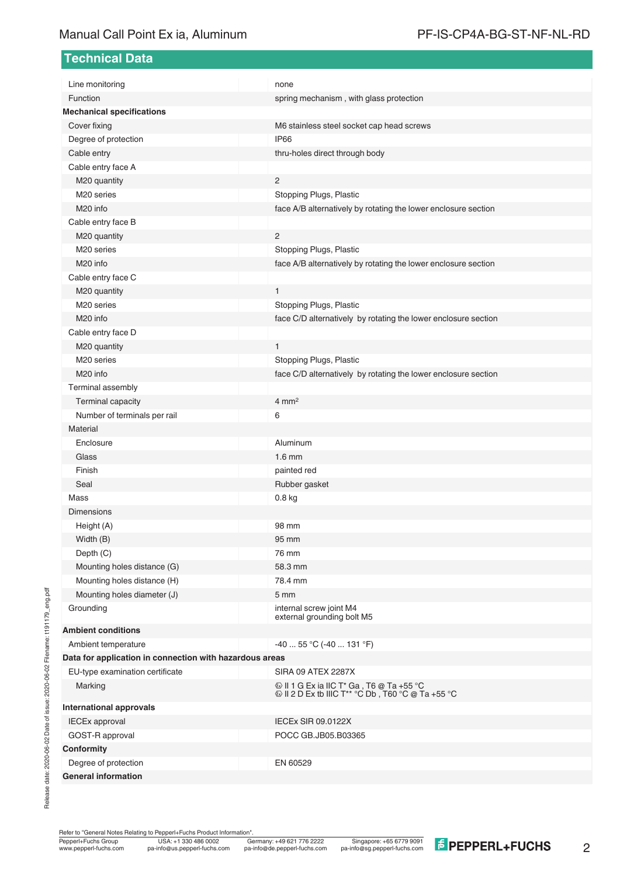## Manual Call Point Ex ia, Aluminum **PF-IS-CP4A-BG-ST-NF-NL-RD**

**Technical Data**

| Line monitoring                                         | none                                                                                 |  |  |
|---------------------------------------------------------|--------------------------------------------------------------------------------------|--|--|
| Function                                                | spring mechanism, with glass protection                                              |  |  |
| <b>Mechanical specifications</b>                        |                                                                                      |  |  |
| Cover fixing                                            | M6 stainless steel socket cap head screws                                            |  |  |
| Degree of protection                                    | IP66                                                                                 |  |  |
| Cable entry                                             | thru-holes direct through body                                                       |  |  |
| Cable entry face A                                      |                                                                                      |  |  |
| M20 quantity                                            | 2                                                                                    |  |  |
| M <sub>20</sub> series                                  | Stopping Plugs, Plastic                                                              |  |  |
| M <sub>20</sub> info                                    | face A/B alternatively by rotating the lower enclosure section                       |  |  |
| Cable entry face B                                      |                                                                                      |  |  |
| M20 quantity                                            | $\overline{2}$                                                                       |  |  |
| M <sub>20</sub> series                                  | Stopping Plugs, Plastic                                                              |  |  |
| M <sub>20</sub> info                                    | face A/B alternatively by rotating the lower enclosure section                       |  |  |
| Cable entry face C                                      |                                                                                      |  |  |
| M20 quantity                                            | $\mathbf{1}$                                                                         |  |  |
| M <sub>20</sub> series                                  | Stopping Plugs, Plastic                                                              |  |  |
| M <sub>20</sub> info                                    | face C/D alternatively by rotating the lower enclosure section                       |  |  |
| Cable entry face D                                      |                                                                                      |  |  |
| M20 quantity                                            | $\mathbf{1}$                                                                         |  |  |
| M <sub>20</sub> series                                  | Stopping Plugs, Plastic                                                              |  |  |
| M <sub>20</sub> info                                    | face C/D alternatively by rotating the lower enclosure section                       |  |  |
| Terminal assembly                                       |                                                                                      |  |  |
| Terminal capacity                                       | $4 \text{ mm}^2$                                                                     |  |  |
| Number of terminals per rail                            | 6                                                                                    |  |  |
| Material                                                |                                                                                      |  |  |
| Enclosure                                               | Aluminum                                                                             |  |  |
| Glass                                                   | $1.6 \text{ mm}$                                                                     |  |  |
| Finish                                                  | painted red                                                                          |  |  |
| Seal                                                    | Rubber gasket                                                                        |  |  |
| Mass                                                    | 0.8 <sub>kg</sub>                                                                    |  |  |
| <b>Dimensions</b>                                       |                                                                                      |  |  |
| Height (A)                                              | 98 mm                                                                                |  |  |
| Width (B)                                               | 95 mm                                                                                |  |  |
| Depth (C)                                               | 76 mm                                                                                |  |  |
| Mounting holes distance (G)                             | 58.3 mm                                                                              |  |  |
| Mounting holes distance (H)                             | 78.4 mm                                                                              |  |  |
| Mounting holes diameter (J)                             | 5 mm                                                                                 |  |  |
| Grounding                                               | internal screw joint M4<br>external grounding bolt M5                                |  |  |
| <b>Ambient conditions</b>                               |                                                                                      |  |  |
| Ambient temperature                                     | $-4055$ °C ( $-40131$ °F)                                                            |  |  |
| Data for application in connection with hazardous areas |                                                                                      |  |  |
| EU-type examination certificate                         | SIRA 09 ATEX 2287X                                                                   |  |  |
| Marking                                                 | $\textcircled{\tiny{\textcircled{\tiny{W}}}}$ II 1 G Ex ia IIC T* Ga, T6 @ Ta +55 °C |  |  |
| <b>International approvals</b>                          |                                                                                      |  |  |
| <b>IECEx approval</b>                                   | <b>IECEx SIR 09.0122X</b>                                                            |  |  |
| GOST-R approval                                         | POCC GB.JB05.B03365                                                                  |  |  |
| Conformity                                              |                                                                                      |  |  |
| Degree of protection                                    | EN 60529                                                                             |  |  |
| <b>General information</b>                              |                                                                                      |  |  |

Release date: 2020-06-02 Date of issue: 2020-06-02 Filename: t191179\_eng.pdf Release date: 2020-06-02 Date of issue: 2020-06-02 Filename: t191179\_eng.pdf

Refer to "General Notes Relating to Pepperl+Fuchs Product Information".